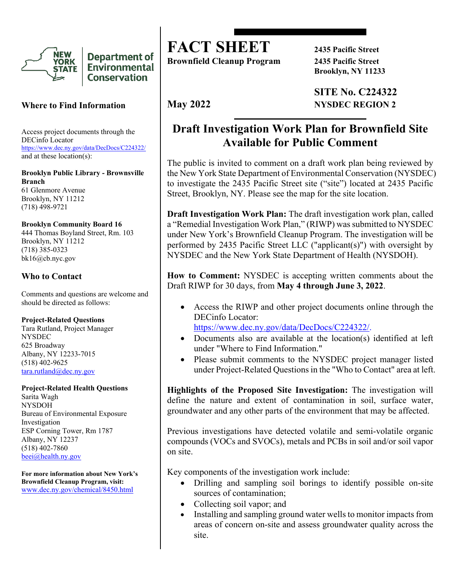

**Department of Environmental Conservation** 

### **Where to Find Information**

Access project documents through the DECinfo Locator <https://www.dec.ny.gov/data/DecDocs/C224322/> and at these location(s):

**Brooklyn Public Library - Brownsville Branch** 61 Glenmore Avenue Brooklyn, NY 11212 (718) 498-9721

### **Brooklyn Community Board 16**

444 Thomas Boyland Street, Rm. 103 Brooklyn, NY 11212 (718) 385-0323 bk16@cb.nyc.gov

### **Who to Contact**

Comments and questions are welcome and should be directed as follows:

#### **Project-Related Questions**

Tara Rutland, Project Manager NYSDEC 625 Broadway Albany, NY 12233-7015 (518) 402-9625 [tara.rutland@dec.ny.gov](mailto:tara.rutland@dec.ny.gov)

#### **Project-Related Health Questions**

Sarita Wagh NYSDOH Bureau of Environmental Exposure Investigation ESP Corning Tower, Rm 1787 Albany, NY 12237 (518) 402-7860 [beei@health.ny.gov](mailto:beei@health.ny.gov)

**For more information about New York's Brownfield Cleanup Program, visit:** [www.dec.ny.gov/chemical/8450.html](https://www.dec.ny.gov/chemical/8450.html)

# **FACT SHEET 2435 Pacific Street**

**Brownfield Cleanup Program 2435 Pacific Street**

**Brooklyn, NY 11233**

**SITE No. C224322 May 2022 NYSDEC REGION 2** 

## **Draft Investigation Work Plan for Brownfield Site Available for Public Comment**

The public is invited to comment on a draft work plan being reviewed by the New York State Department of Environmental Conservation (NYSDEC) to investigate the 2435 Pacific Street site ("site") located at 2435 Pacific Street, Brooklyn, NY. Please see the map for the site location.

**Draft Investigation Work Plan:** The draft investigation work plan, called a "Remedial Investigation Work Plan," (RIWP) was submitted to NYSDEC under New York's Brownfield Cleanup Program. The investigation will be performed by 2435 Pacific Street LLC ("applicant(s)") with oversight by NYSDEC and the New York State Department of Health (NYSDOH).

**How to Comment:** NYSDEC is accepting written comments about the Draft RIWP for 30 days, from **May 4 through June 3, 2022**.

• Access the RIWP and other project documents online through the DECinfo Locator: [https://www.dec.ny.gov/data/DecDocs/C224322/.](https://www.dec.ny.gov/data/DecDocs/C224322/)

• Documents also are available at the location(s) identified at left under "Where to Find Information."

• Please submit comments to the NYSDEC project manager listed under Project-Related Questions in the "Who to Contact" area at left.

**Highlights of the Proposed Site Investigation:** The investigation will define the nature and extent of contamination in soil, surface water, groundwater and any other parts of the environment that may be affected.

Previous investigations have detected volatile and semi-volatile organic compounds (VOCs and SVOCs), metals and PCBs in soil and/or soil vapor on site.

Key components of the investigation work include:

- Drilling and sampling soil borings to identify possible on-site sources of contamination;
- Collecting soil vapor; and
- Installing and sampling ground water wells to monitor impacts from areas of concern on-site and assess groundwater quality across the site.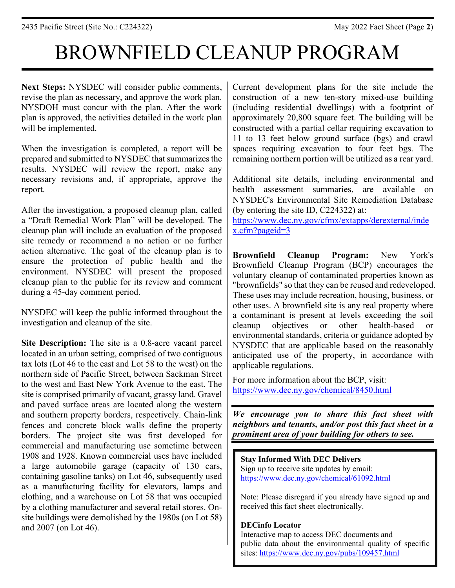# BROWNFIELD CLEANUP PROGRAM

**Next Steps:** NYSDEC will consider public comments, revise the plan as necessary, and approve the work plan. NYSDOH must concur with the plan. After the work plan is approved, the activities detailed in the work plan will be implemented.

When the investigation is completed, a report will be prepared and submitted to NYSDEC that summarizes the results. NYSDEC will review the report, make any necessary revisions and, if appropriate, approve the report.

After the investigation, a proposed cleanup plan, called a "Draft Remedial Work Plan" will be developed. The cleanup plan will include an evaluation of the proposed site remedy or recommend a no action or no further action alternative. The goal of the cleanup plan is to ensure the protection of public health and the environment. NYSDEC will present the proposed cleanup plan to the public for its review and comment during a 45-day comment period.

NYSDEC will keep the public informed throughout the investigation and cleanup of the site.

**Site Description:** The site is a 0.8-acre vacant parcel located in an urban setting, comprised of two contiguous tax lots (Lot 46 to the east and Lot 58 to the west) on the northern side of Pacific Street, between Sackman Street to the west and East New York Avenue to the east. The site is comprised primarily of vacant, grassy land. Gravel and paved surface areas are located along the western and southern property borders, respectively. Chain-link fences and concrete block walls define the property borders. The project site was first developed for commercial and manufacturing use sometime between 1908 and 1928. Known commercial uses have included a large automobile garage (capacity of 130 cars, containing gasoline tanks) on Lot 46, subsequently used as a manufacturing facility for elevators, lamps and clothing, and a warehouse on Lot 58 that was occupied by a clothing manufacturer and several retail stores. Onsite buildings were demolished by the 1980s (on Lot 58) and 2007 (on Lot 46).

Current development plans for the site include the construction of a new ten-story mixed-use building (including residential dwellings) with a footprint of approximately 20,800 square feet. The building will be constructed with a partial cellar requiring excavation to 11 to 13 feet below ground surface (bgs) and crawl spaces requiring excavation to four feet bgs. The remaining northern portion will be utilized as a rear yard.

Additional site details, including environmental and health assessment summaries, are available on NYSDEC's Environmental Site Remediation Database (by entering the site ID, C224322) at:

[https://www.dec.ny.gov/cfmx/extapps/derexternal/inde](https://www.dec.ny.gov/cfmx/extapps/derexternal/index.cfm?pageid=3) [x.cfm?pageid=3](https://www.dec.ny.gov/cfmx/extapps/derexternal/index.cfm?pageid=3)

**Brownfield Cleanup Program:** New York's Brownfield Cleanup Program (BCP) encourages the voluntary cleanup of contaminated properties known as "brownfields" so that they can be reused and redeveloped. These uses may include recreation, housing, business, or other uses. A brownfield site is any real property where a contaminant is present at levels exceeding the soil cleanup objectives or other health-based or environmental standards, criteria or guidance adopted by NYSDEC that are applicable based on the reasonably anticipated use of the property, in accordance with applicable regulations.

For more information about the BCP, visit: <https://www.dec.ny.gov/chemical/8450.html>

*We encourage you to share this fact sheet with neighbors and tenants, and/or post this fact sheet in a prominent area of your building for others to see.*

**Stay Informed With DEC Delivers** Sign up to receive site updates by email: <https://www.dec.ny.gov/chemical/61092.html>

Note: Please disregard if you already have signed up and received this fact sheet electronically.

### **DECinfo Locator**

Interactive map to access DEC documents and public data about the environmental quality of specific sites:<https://www.dec.ny.gov/pubs/109457.html>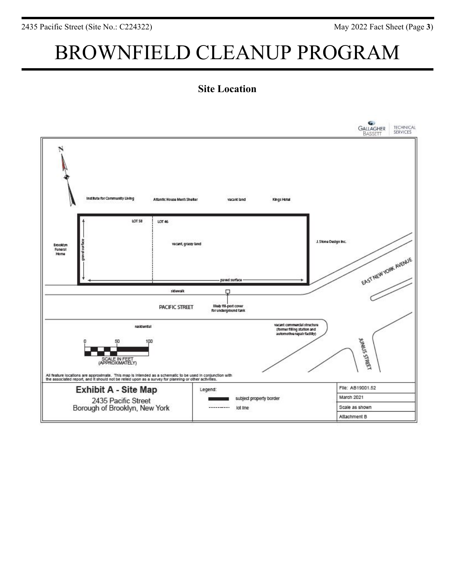# BROWNFIELD CLEANUP PROGRAM

### **Site Location**